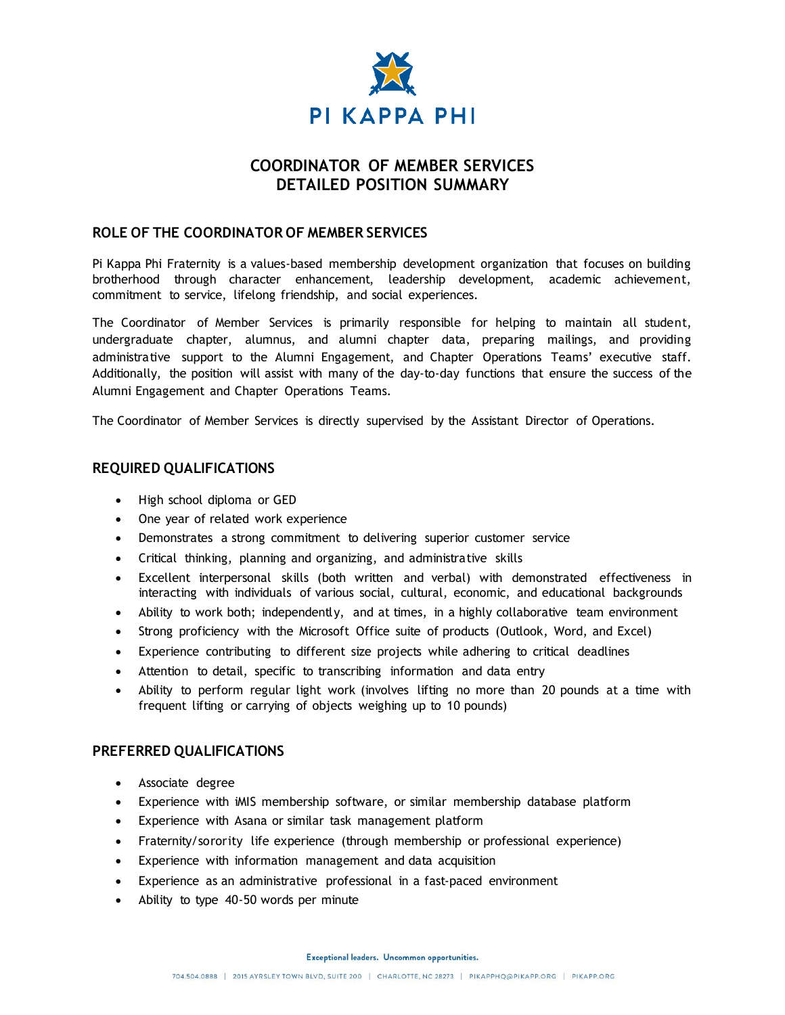

# **COORDINATOR OF MEMBER SERVICES DETAILED POSITION SUMMARY**

### **ROLE OF THE COORDINATOR OF MEMBER SERVICES**

Pi Kappa Phi Fraternity is a values-based membership development organization that focuses on building brotherhood through character enhancement, leadership development, academic achievement, commitment to service, lifelong friendship, and social experiences.

The Coordinator of Member Services is primarily responsible for helping to maintain all student, undergraduate chapter, alumnus, and alumni chapter data, preparing mailings, and providing administrative support to the Alumni Engagement, and Chapter Operations Teams' executive staff. Additionally, the position will assist with many of the day-to-day functions that ensure the success of the Alumni Engagement and Chapter Operations Teams.

The Coordinator of Member Services is directly supervised by the Assistant Director of Operations.

#### **REQUIRED QUALIFICATIONS**

- High school diploma or GED
- One year of related work experience
- Demonstrates a strong commitment to delivering superior customer service
- Critical thinking, planning and organizing, and administrative skills
- Excellent interpersonal skills (both written and verbal) with demonstrated effectiveness in interacting with individuals of various social, cultural, economic, and educational backgrounds
- Ability to work both; independently, and at times, in a highly collaborative team environment
- Strong proficiency with the Microsoft Office suite of products (Outlook, Word, and Excel)
- Experience contributing to different size projects while adhering to critical deadlines
- Attention to detail, specific to transcribing information and data entry
- Ability to perform regular light work (involves lifting no more than 20 pounds at a time with frequent lifting or carrying of objects weighing up to 10 pounds)

#### **PREFERRED QUALIFICATIONS**

- Associate degree
- Experience with iMIS membership software, or similar membership database platform
- Experience with Asana or similar task management platform
- Fraternity/sorority life experience (through membership or professional experience)
- Experience with information management and data acquisition
- Experience as an administrative professional in a fast-paced environment
- Ability to type 40-50 words per minute